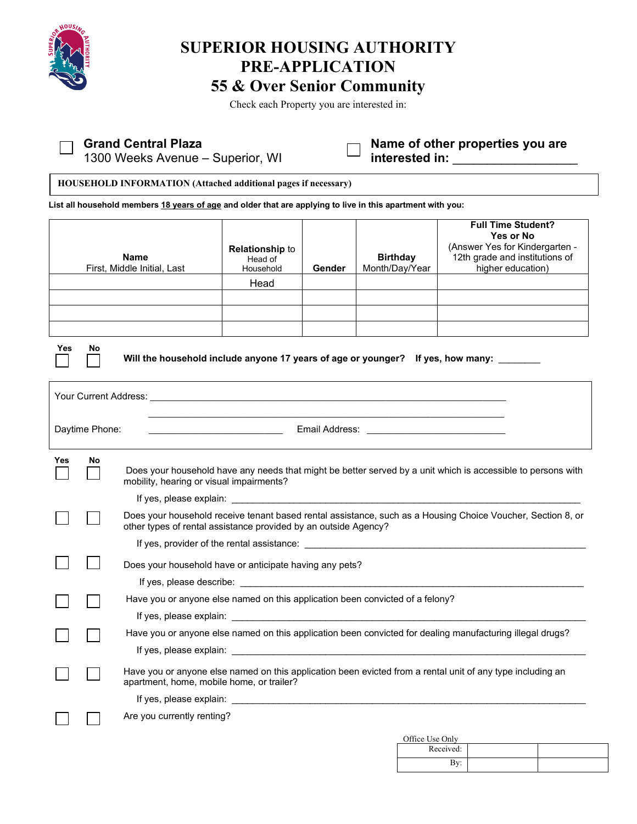

 $\Box$ 

# **SUPERIOR HOUSING AUTHORITY PRE-APPLICATION 55 & Over Senior Community**

Check each Property you are interested in:

## **Grand Central Plaza**

1300 Weeks Avenue – Superior, WI

**Name of other properties you are**  interested in:

**HOUSEHOLD INFORMATION (Attached additional pages if necessary)**

**List all household members 18 years of age and older that are applying to live in this apartment with you:** 

|                                                                                              |    | <b>Name</b><br>First, Middle Initial, Last                                                                                                                                                                                         | <b>Relationship to</b><br>Head of<br>Household | Gender | <b>Birthday</b><br>Month/Day/Year | <b>Full Time Student?</b><br><b>Yes or No</b><br>(Answer Yes for Kindergarten -<br>12th grade and institutions of<br>higher education)                                                                                         |  |  |  |
|----------------------------------------------------------------------------------------------|----|------------------------------------------------------------------------------------------------------------------------------------------------------------------------------------------------------------------------------------|------------------------------------------------|--------|-----------------------------------|--------------------------------------------------------------------------------------------------------------------------------------------------------------------------------------------------------------------------------|--|--|--|
|                                                                                              |    |                                                                                                                                                                                                                                    | Head                                           |        |                                   |                                                                                                                                                                                                                                |  |  |  |
|                                                                                              |    |                                                                                                                                                                                                                                    |                                                |        |                                   |                                                                                                                                                                                                                                |  |  |  |
|                                                                                              |    |                                                                                                                                                                                                                                    |                                                |        |                                   |                                                                                                                                                                                                                                |  |  |  |
| Yes<br>No<br>Will the household include anyone 17 years of age or younger? If yes, how many: |    |                                                                                                                                                                                                                                    |                                                |        |                                   |                                                                                                                                                                                                                                |  |  |  |
|                                                                                              |    |                                                                                                                                                                                                                                    |                                                |        |                                   |                                                                                                                                                                                                                                |  |  |  |
| Daytime Phone:                                                                               |    | <b>Email Address: CONSIDERING THE RESERVE EXAMPLE TO A RESERVE THE RESERVE EXAMPLE TO A RESERVE THE RESERVE THE RESERVE THE RESERVE THE RESERVE THE RESERVE THE RESERVE THE RESERVE THE RESERVE THE RESERVE THE RESERVE THE RE</b> |                                                |        |                                   |                                                                                                                                                                                                                                |  |  |  |
| Yes                                                                                          | No | mobility, hearing or visual impairments?                                                                                                                                                                                           |                                                |        |                                   | Does your household have any needs that might be better served by a unit which is accessible to persons with                                                                                                                   |  |  |  |
|                                                                                              |    |                                                                                                                                                                                                                                    |                                                |        |                                   |                                                                                                                                                                                                                                |  |  |  |
|                                                                                              |    | other types of rental assistance provided by an outside Agency?                                                                                                                                                                    |                                                |        |                                   | Does your household receive tenant based rental assistance, such as a Housing Choice Voucher, Section 8, or                                                                                                                    |  |  |  |
|                                                                                              |    |                                                                                                                                                                                                                                    |                                                |        |                                   | If yes, provider of the rental assistance: example and a set of the state of the state of the state of the state of the state of the state of the state of the state of the state of the state of the state of the state of th |  |  |  |
|                                                                                              |    | Does your household have or anticipate having any pets?                                                                                                                                                                            |                                                |        |                                   |                                                                                                                                                                                                                                |  |  |  |
|                                                                                              |    |                                                                                                                                                                                                                                    |                                                |        |                                   |                                                                                                                                                                                                                                |  |  |  |
|                                                                                              |    | Have you or anyone else named on this application been convicted of a felony?                                                                                                                                                      |                                                |        |                                   |                                                                                                                                                                                                                                |  |  |  |
|                                                                                              |    |                                                                                                                                                                                                                                    |                                                |        |                                   |                                                                                                                                                                                                                                |  |  |  |
|                                                                                              |    |                                                                                                                                                                                                                                    |                                                |        |                                   | Have you or anyone else named on this application been convicted for dealing manufacturing illegal drugs?                                                                                                                      |  |  |  |
|                                                                                              |    |                                                                                                                                                                                                                                    |                                                |        |                                   |                                                                                                                                                                                                                                |  |  |  |
|                                                                                              |    | apartment, home, mobile home, or trailer?                                                                                                                                                                                          |                                                |        |                                   | Have you or anyone else named on this application been evicted from a rental unit of any type including an                                                                                                                     |  |  |  |
|                                                                                              |    |                                                                                                                                                                                                                                    |                                                |        |                                   |                                                                                                                                                                                                                                |  |  |  |
|                                                                                              |    | Are you currently renting?                                                                                                                                                                                                         |                                                |        |                                   |                                                                                                                                                                                                                                |  |  |  |
|                                                                                              |    |                                                                                                                                                                                                                                    |                                                |        | Office Use Only                   |                                                                                                                                                                                                                                |  |  |  |

| Office Use Only |  |
|-----------------|--|
| Received:       |  |
|                 |  |